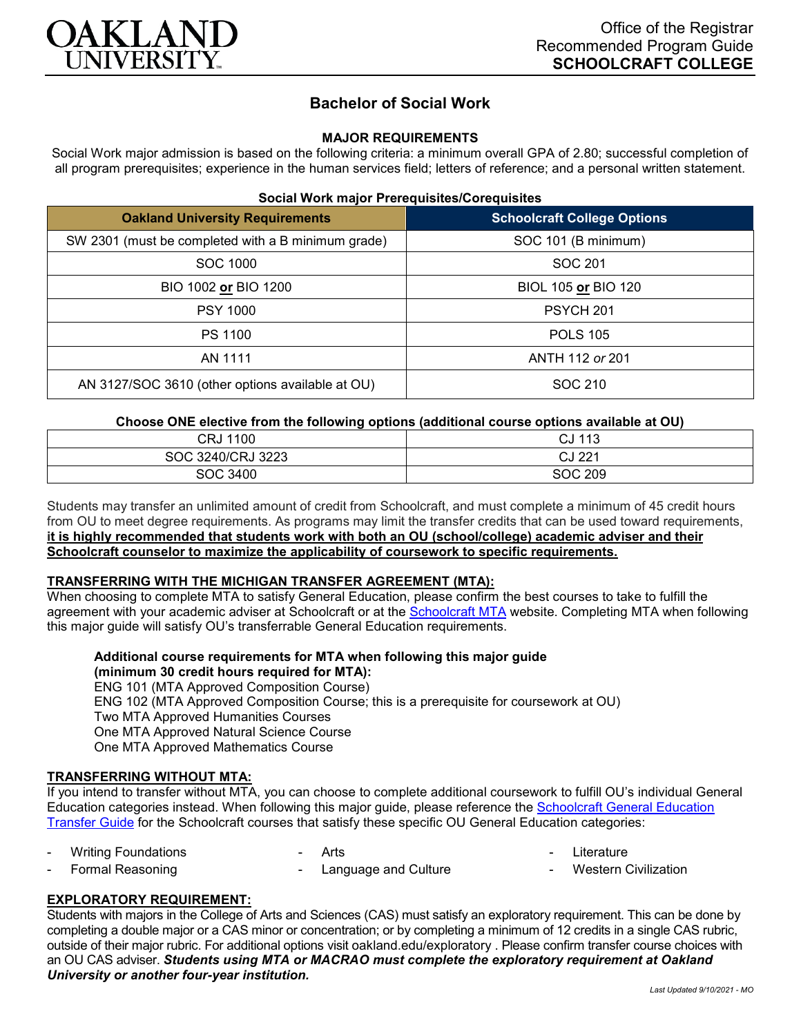

# **Bachelor of Social Work**

# **MAJOR REQUIREMENTS**

Social Work major admission is based on the following criteria: a minimum overall GPA of 2.80; successful completion of all program prerequisites; experience in the human services field; letters of reference; and a personal written statement.

#### **Social Work major Prerequisites/Corequisites**

| <b>Oakland University Requirements</b>             | <b>Schoolcraft College Options</b> |
|----------------------------------------------------|------------------------------------|
| SW 2301 (must be completed with a B minimum grade) | SOC 101 (B minimum)                |
| SOC 1000                                           | SOC 201                            |
| BIO 1002 or BIO 1200                               | BIOL 105 or BIO 120                |
| <b>PSY 1000</b>                                    | PSYCH <sub>201</sub>               |
| PS 1100                                            | <b>POLS 105</b>                    |
| AN 1111                                            | ANTH 112 or 201                    |
| AN 3127/SOC 3610 (other options available at OU)   | SOC 210                            |

#### **Choose ONE elective from the following options (additional course options available at OU)**

| CRJ 1100          | CJ 113         |
|-------------------|----------------|
| SOC 3240/CRJ 3223 | CJ 221         |
| <b>SOC 3400</b>   | <b>SOC 209</b> |

Students may transfer an unlimited amount of credit from Schoolcraft, and must complete a minimum of 45 credit hours from OU to meet degree requirements. As programs may limit the transfer credits that can be used toward requirements, **it is highly recommended that students work with both an OU (school/college) academic adviser and their Schoolcraft counselor to maximize the applicability of coursework to specific requirements.**

#### **TRANSFERRING WITH THE MICHIGAN TRANSFER AGREEMENT (MTA):**

When choosing to complete MTA to satisfy General Education, please confirm the best courses to take to fulfill the agreement with your academic adviser at Schoolcraft or at the [Schoolcraft MTA](https://schoolcraft.edu/academics/michigan-transfer-agreement) website. Completing MTA when following this major guide will satisfy OU's transferrable General Education requirements.

# **Additional course requirements for MTA when following this major guide (minimum 30 credit hours required for MTA):**

ENG 101 (MTA Approved Composition Course) ENG 102 (MTA Approved Composition Course; this is a prerequisite for coursework at OU) Two MTA Approved Humanities Courses One MTA Approved Natural Science Course One MTA Approved Mathematics Course

### **TRANSFERRING WITHOUT MTA:**

If you intend to transfer without MTA, you can choose to complete additional coursework to fulfill OU's individual General Education categories instead. When following this major guide, please reference the [Schoolcraft General Education](https://www.oakland.edu/Assets/Oakland/program-guides/schoolcraft-college/university-general-education-requirements/Schoolcraft%20Gen%20Ed.pdf)  [Transfer Guide](https://www.oakland.edu/Assets/Oakland/program-guides/schoolcraft-college/university-general-education-requirements/Schoolcraft%20Gen%20Ed.pdf) for the Schoolcraft courses that satisfy these specific OU General Education categories:

- Writing Foundations Arts
- Formal Reasoning Language and Culture **Western Civilization**

### **EXPLORATORY REQUIREMENT:**

Students with majors in the College of Arts and Sciences (CAS) must satisfy an exploratory requirement. This can be done by completing a double major or a CAS minor or concentration; or by completing a minimum of 12 credits in a single CAS rubric, outside of their major rubric. For additional options visit [oakland.edu/exploratory](http://www.oakland.edu/exploratory) . Please confirm transfer course choices with an OU CAS adviser. *Students using MTA or MACRAO must complete the exploratory requirement at Oakland University or another four-year institution.*

- Literature